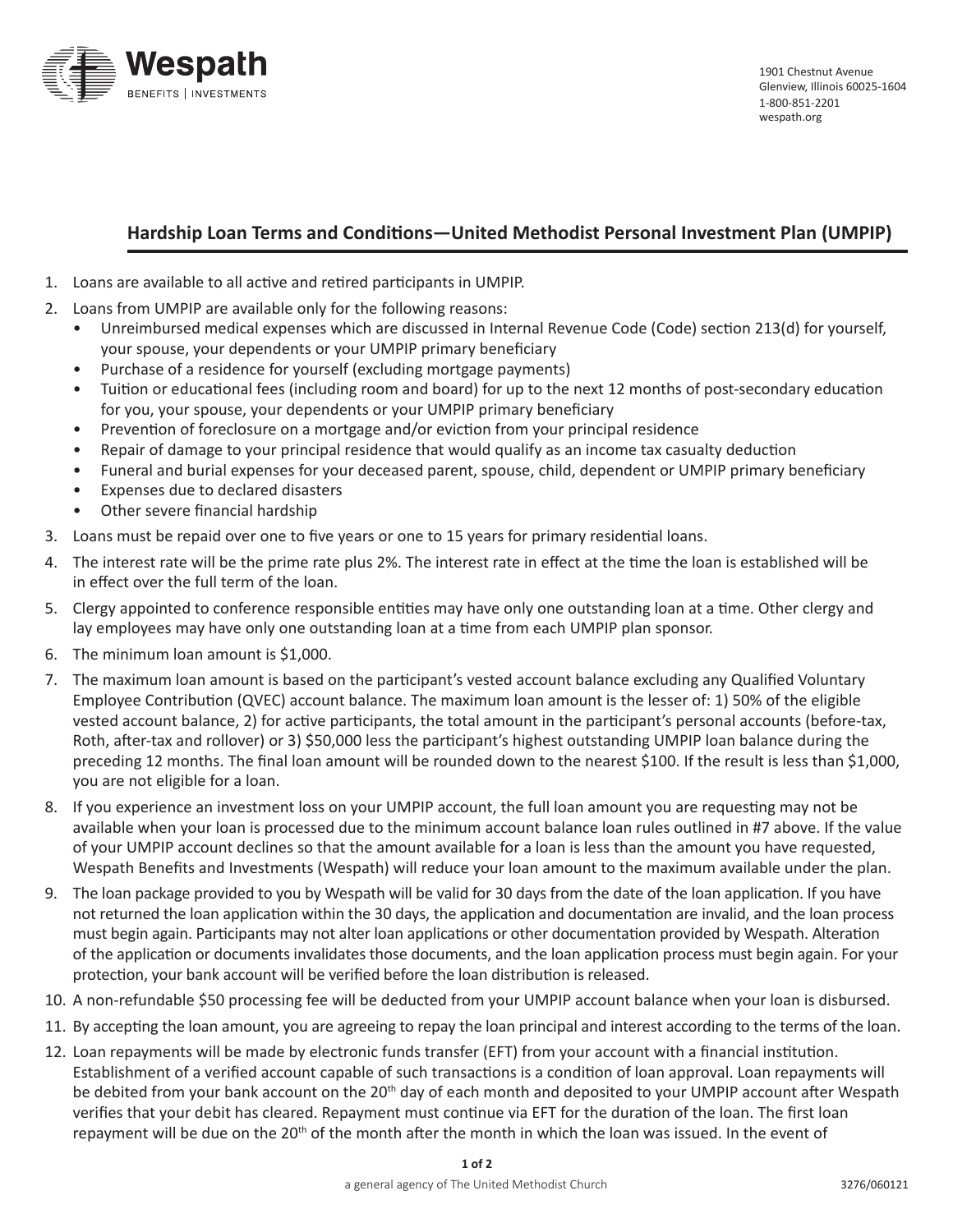

## **Hardship Loan Terms and Conditions—United Methodist Personal Investment Plan (UMPIP)**

- 1. Loans are available to all active and retired participants in UMPIP.
- 2. Loans from UMPIP are available only for the following reasons:
	- Unreimbursed medical expenses which are discussed in Internal Revenue Code (Code) section 213(d) for yourself, your spouse, your dependents or your UMPIP primary beneficiary
	- Purchase of a residence for yourself (excluding mortgage payments)
	- • Tuition or educational fees (including room and board) for up to the next 12 months of post-secondary education for you, your spouse, your dependents or your UMPIP primary beneficiary
	- Prevention of foreclosure on a mortgage and/or eviction from your principal residence
	- Repair of damage to your principal residence that would qualify as an income tax casualty deduction
	- • Funeral and burial expenses for your deceased parent, spouse, child, dependent or UMPIP primary beneficiary
	- • Expenses due to declared disasters
	- Other severe financial hardship
- 3. Loans must be repaid over one to five years or one to 15 years for primary residential loans.
- 4. The interest rate will be the prime rate plus 2%. The interest rate in effect at the time the loan is established will be in effect over the full term of the loan.
- 5. Clergy appointed to conference responsible entities may have only one outstanding loan at a time. Other clergy and lay employees may have only one outstanding loan at a time from each UMPIP plan sponsor.
- 6. The minimum loan amount is \$1,000.
- 7. The maximum loan amount is based on the participant's vested account balance excluding any Qualified Voluntary Employee Contribution (QVEC) account balance. The maximum loan amount is the lesser of: 1) 50% of the eligible vested account balance, 2) for active participants, the total amount in the participant's personal accounts (before-tax, Roth, after-tax and rollover) or 3) \$50,000 less the participant's highest outstanding UMPIP loan balance during the preceding 12 months. The final loan amount will be rounded down to the nearest \$100. If the result is less than \$1,000, you are not eligible for a loan.
- 8. If you experience an investment loss on your UMPIP account, the full loan amount you are requesting may not be available when your loan is processed due to the minimum account balance loan rules outlined in #7 above. If the value of your UMPIP account declines so that the amount available for a loan is less than the amount you have requested, Wespath Benefits and Investments (Wespath) will reduce your loan amount to the maximum available under the plan.
- 9. The loan package provided to you by Wespath will be valid for 30 days from the date of the loan application. If you have not returned the loan application within the 30 days, the application and documentation are invalid, and the loan process must begin again. Participants may not alter loan applications or other documentation provided by Wespath. Alteration of the application or documents invalidates those documents, and the loan application process must begin again. For your protection, your bank account will be verified before the loan distribution is released.
- 10. A non-refundable \$50 processing fee will be deducted from your UMPIP account balance when your loan is disbursed.
- 11. By accepting the loan amount, you are agreeing to repay the loan principal and interest according to the terms of the loan.
- 12. Loan repayments will be made by electronic funds transfer (EFT) from your account with a financial institution. Establishment of a verified account capable of such transactions is a condition of loan approval. Loan repayments will be debited from your bank account on the 20<sup>th</sup> day of each month and deposited to your UMPIP account after Wespath verifies that your debit has cleared. Repayment must continue via EFT for the duration of the loan. The first loan repayment will be due on the 20<sup>th</sup> of the month after the month in which the loan was issued. In the event of